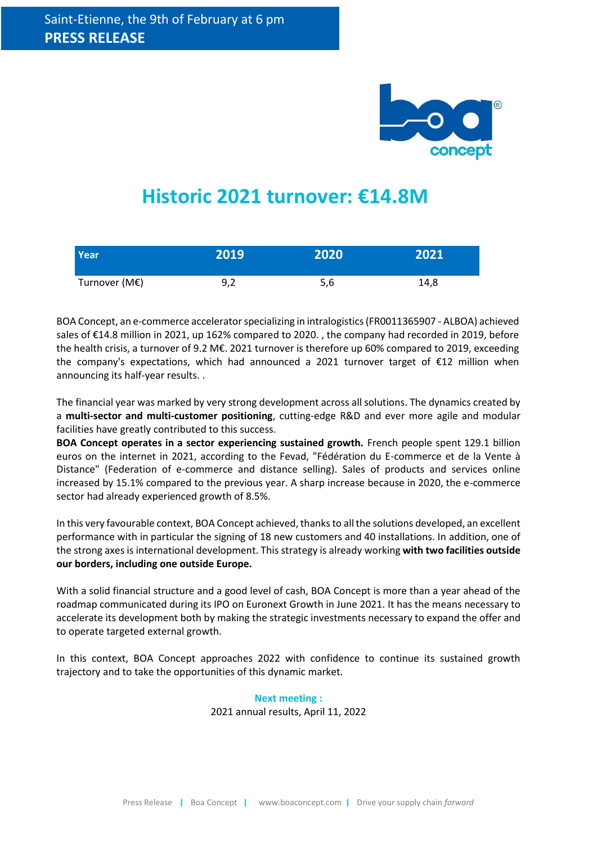

# **Historic 2021 turnover: €14.8M**

| Year <sup>1</sup> | 2019 | 2020 | 2021 |
|-------------------|------|------|------|
| Turnover (M€)     | 9,2  | 5,6  | 14,8 |

BOA Concept, an e-commerce accelerator specializing in intralogistics (FR0011365907 - ALBOA) achieved sales of €14.8 million in 2021, up 162% compared to 2020. , the company had recorded in 2019, before the health crisis, a turnover of 9.2 M€. 2021 turnover is therefore up 60% compared to 2019, exceeding the company's expectations, which had announced a 2021 turnover target of €12 million when announcing its half-year results. .

The financial year was marked by very strong development across all solutions. The dynamics created by a **multi-sector and multi-customer positioning**, cutting-edge R&D and ever more agile and modular facilities have greatly contributed to this success.

**BOA Concept operates in a sector experiencing sustained growth.** French people spent 129.1 billion euros on the internet in 2021, according to the Fevad, "Fédération du E-commerce et de la Vente à Distance" (Federation of e-commerce and distance selling). Sales of products and services online increased by 15.1% compared to the previous year. A sharp increase because in 2020, the e-commerce sector had already experienced growth of 8.5%.

In this very favourable context, BOA Concept achieved, thanks to all the solutions developed, an excellent performance with in particular the signing of 18 new customers and 40 installations. In addition, one of the strong axes is international development. This strategy is already working **with two facilities outside our borders, including one outside Europe.**

With a solid financial structure and a good level of cash, BOA Concept is more than a year ahead of the roadmap communicated during its IPO on Euronext Growth in June 2021. It has the means necessary to accelerate its development both by making the strategic investments necessary to expand the offer and to operate targeted external growth.

In this context, BOA Concept approaches 2022 with confidence to continue its sustained growth trajectory and to take the opportunities of this dynamic market.

> **Next meeting :**  2021 annual results, April 11, 2022